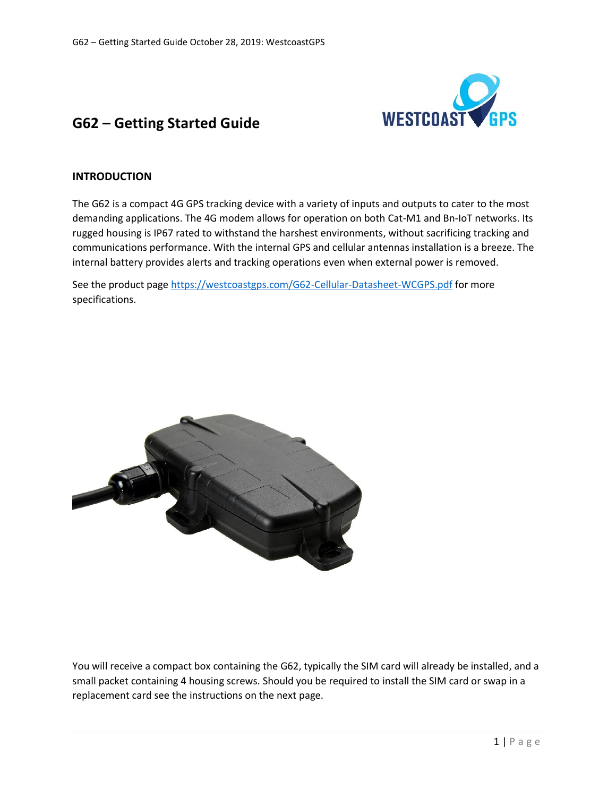

# **G62 – Getting Started Guide**

### **INTRODUCTION**

The G62 is a compact 4G GPS tracking device with a variety of inputs and outputs to cater to the most demanding applications. The 4G modem allows for operation on both Cat-M1 and Bn-IoT networks. Its rugged housing is IP67 rated to withstand the harshest environments, without sacrificing tracking and communications performance. With the internal GPS and cellular antennas installation is a breeze. The internal battery provides alerts and tracking operations even when external power is removed.

See the product page [https://westcoastgps.com/G62-Cellular-Datasheet-WCGPS.pdf](https://westcoastgps.com/wp-content/uploads/2018/04/G62-Cellular-Datasheet-WCGPS.pdf) for more specifications.



You will receive a compact box containing the G62, typically the SIM card will already be installed, and a small packet containing 4 housing screws. Should you be required to install the SIM card or swap in a replacement card see the instructions on the next page.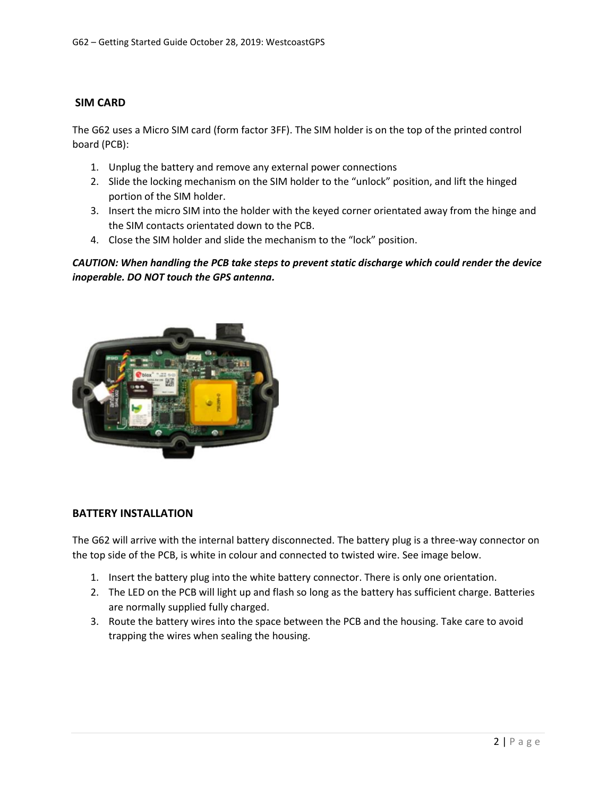# **SIM CARD**

The G62 uses a Micro SIM card (form factor 3FF). The SIM holder is on the top of the printed control board (PCB):

- 1. Unplug the battery and remove any external power connections
- 2. Slide the locking mechanism on the SIM holder to the "unlock" position, and lift the hinged portion of the SIM holder.
- 3. Insert the micro SIM into the holder with the keyed corner orientated away from the hinge and the SIM contacts orientated down to the PCB.
- 4. Close the SIM holder and slide the mechanism to the "lock" position.

# *CAUTION: When handling the PCB take steps to prevent static discharge which could render the device inoperable. DO NOT touch the GPS antenna.*



#### **BATTERY INSTALLATION**

The G62 will arrive with the internal battery disconnected. The battery plug is a three-way connector on the top side of the PCB, is white in colour and connected to twisted wire. See image below.

- 1. Insert the battery plug into the white battery connector. There is only one orientation.
- 2. The LED on the PCB will light up and flash so long as the battery has sufficient charge. Batteries are normally supplied fully charged.
- 3. Route the battery wires into the space between the PCB and the housing. Take care to avoid trapping the wires when sealing the housing.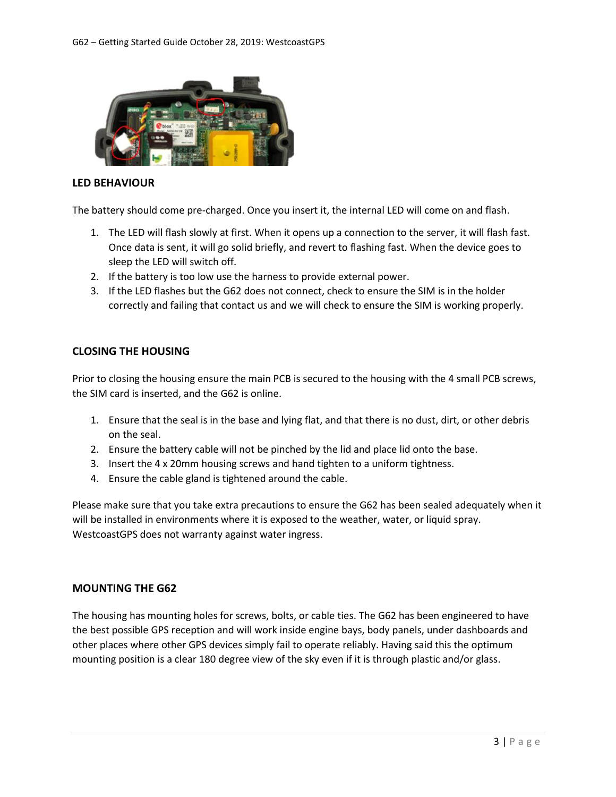

# **LED BEHAVIOUR**

The battery should come pre-charged. Once you insert it, the internal LED will come on and flash.

- 1. The LED will flash slowly at first. When it opens up a connection to the server, it will flash fast. Once data is sent, it will go solid briefly, and revert to flashing fast. When the device goes to sleep the LED will switch off.
- 2. If the battery is too low use the harness to provide external power.
- 3. If the LED flashes but the G62 does not connect, check to ensure the SIM is in the holder correctly and failing that contact us and we will check to ensure the SIM is working properly.

# **CLOSING THE HOUSING**

Prior to closing the housing ensure the main PCB is secured to the housing with the 4 small PCB screws, the SIM card is inserted, and the G62 is online.

- 1. Ensure that the seal is in the base and lying flat, and that there is no dust, dirt, or other debris on the seal.
- 2. Ensure the battery cable will not be pinched by the lid and place lid onto the base.
- 3. Insert the 4 x 20mm housing screws and hand tighten to a uniform tightness.
- 4. Ensure the cable gland is tightened around the cable.

Please make sure that you take extra precautions to ensure the G62 has been sealed adequately when it will be installed in environments where it is exposed to the weather, water, or liquid spray. WestcoastGPS does not warranty against water ingress.

#### **MOUNTING THE G62**

The housing has mounting holes for screws, bolts, or cable ties. The G62 has been engineered to have the best possible GPS reception and will work inside engine bays, body panels, under dashboards and other places where other GPS devices simply fail to operate reliably. Having said this the optimum mounting position is a clear 180 degree view of the sky even if it is through plastic and/or glass.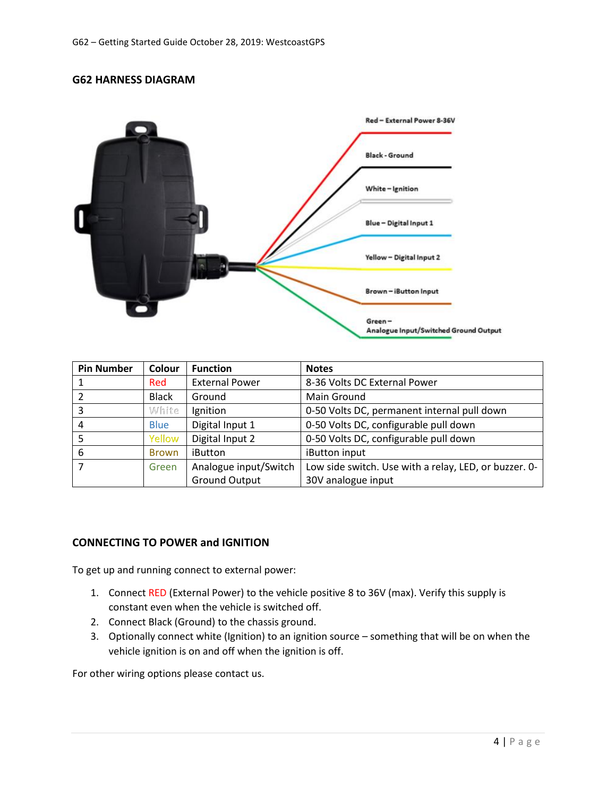### **G62 HARNESS DIAGRAM**



| <b>Pin Number</b> | Colour       | <b>Function</b>       | <b>Notes</b>                                          |  |  |
|-------------------|--------------|-----------------------|-------------------------------------------------------|--|--|
|                   | Red          | <b>External Power</b> | 8-36 Volts DC External Power                          |  |  |
|                   | <b>Black</b> | Ground                | Main Ground                                           |  |  |
|                   | White        | Ignition              | 0-50 Volts DC, permanent internal pull down           |  |  |
|                   | <b>Blue</b>  | Digital Input 1       | 0-50 Volts DC, configurable pull down                 |  |  |
| 5                 | Yellow       | Digital Input 2       | 0-50 Volts DC, configurable pull down                 |  |  |
| 6                 | <b>Brown</b> | iButton               | iButton input                                         |  |  |
|                   | Green        | Analogue input/Switch | Low side switch. Use with a relay, LED, or buzzer. 0- |  |  |
|                   |              | <b>Ground Output</b>  | 30V analogue input                                    |  |  |

#### **CONNECTING TO POWER and IGNITION**

To get up and running connect to external power:

- 1. Connect RED (External Power) to the vehicle positive 8 to 36V (max). Verify this supply is constant even when the vehicle is switched off.
- 2. Connect Black (Ground) to the chassis ground.
- 3. Optionally connect white (Ignition) to an ignition source something that will be on when the vehicle ignition is on and off when the ignition is off.

For other wiring options please contact us.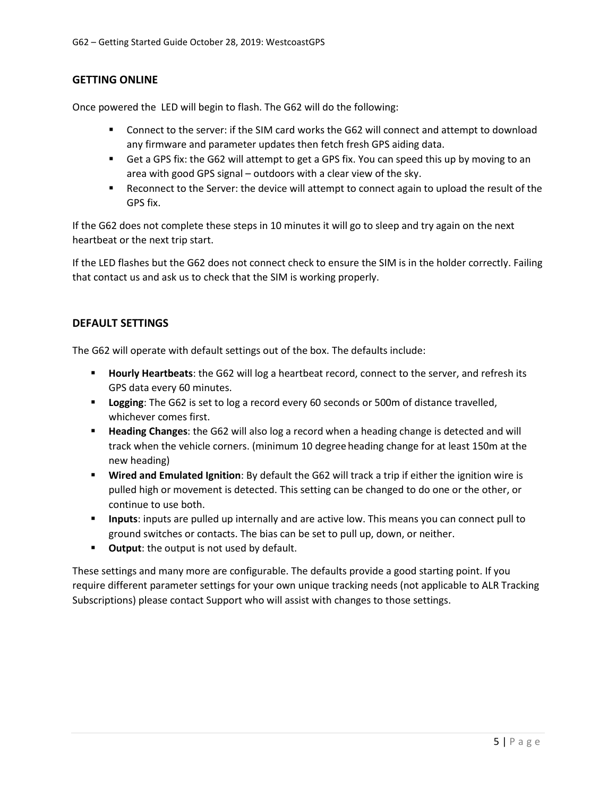# **GETTING ONLINE**

Once powered the LED will begin to flash. The G62 will do the following:

- Connect to the server: if the SIM card works the G62 will connect and attempt to download any firmware and parameter updates then fetch fresh GPS aiding data.
- Get a GPS fix: the G62 will attempt to get a GPS fix. You can speed this up by moving to an area with good GPS signal – outdoors with a clear view of the sky.
- Reconnect to the Server: the device will attempt to connect again to upload the result of the GPS fix.

If the G62 does not complete these steps in 10 minutes it will go to sleep and try again on the next heartbeat or the next trip start.

If the LED flashes but the G62 does not connect check to ensure the SIM is in the holder correctly. Failing that contact us and ask us to check that the SIM is working properly.

# **DEFAULT SETTINGS**

The G62 will operate with default settings out of the box. The defaults include:

- **Hourly Heartbeats**: the G62 will log a heartbeat record, connect to the server, and refresh its GPS data every 60 minutes.
- **Example 1** Logging: The G62 is set to log a record every 60 seconds or 500m of distance travelled, whichever comes first.
- **Heading Changes**: the G62 will also log a record when a heading change is detected and will track when the vehicle corners. (minimum 10 degree heading change for at least 150m at the new heading)
- **Wired and Emulated Ignition**: By default the G62 will track a trip if either the ignition wire is pulled high or movement is detected. This setting can be changed to do one or the other, or continue to use both.
- **Inputs**: inputs are pulled up internally and are active low. This means you can connect pull to ground switches or contacts. The bias can be set to pull up, down, or neither.
- **Output:** the output is not used by default.

These settings and many more are configurable. The defaults provide a good starting point. If you require different parameter settings for your own unique tracking needs (not applicable to ALR Tracking Subscriptions) please contact Support who will assist with changes to those settings.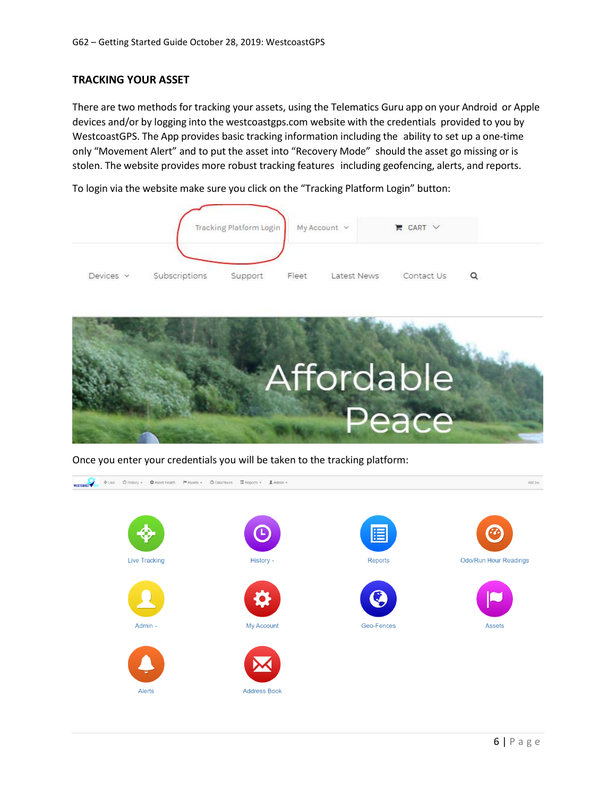# **TRACKING YOUR ASSET**

There are two methods for tracking your assets, using the Telematics Guru app on your Android or Apple devices and/or by logging into the westcoastgps.com website with the credentials provided to you by WestcoastGPS. The App provides basic tracking information including the ability to set up a one-time only "Movement Alert" and to put the asset into "Recovery Mode" should the asset go missing or is stolen. The website provides more robust tracking features including geofencing, alerts, and reports.

To login via the website make sure you click on the "Tracking Platform Login" button:





Once you enter your credentials you will be taken to the tracking platform:

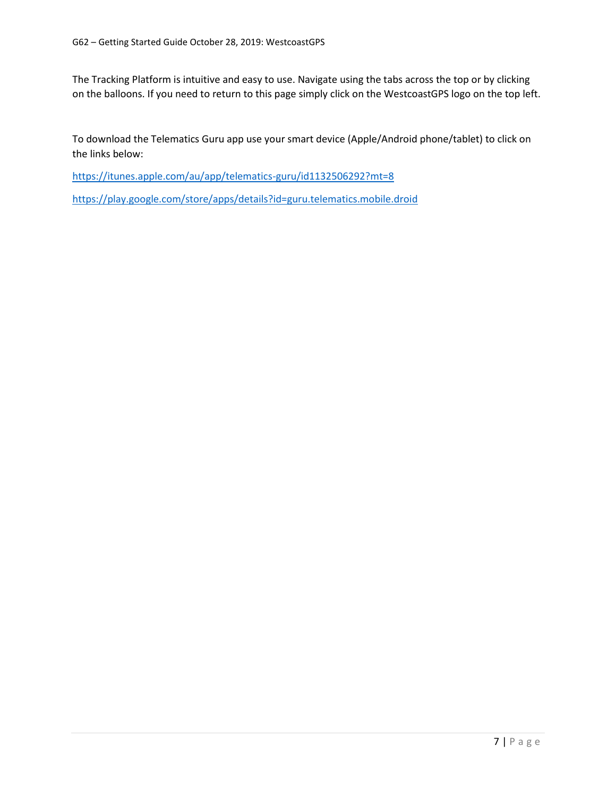The Tracking Platform is intuitive and easy to use. Navigate using the tabs across the top or by clicking on the balloons. If you need to return to this page simply click on the WestcoastGPS logo on the top left.

To download the Telematics Guru app use your smart device (Apple/Android phone/tablet) to click on the links below:

<https://itunes.apple.com/au/app/telematics-guru/id1132506292?mt=8>

<https://play.google.com/store/apps/details?id=guru.telematics.mobile.droid>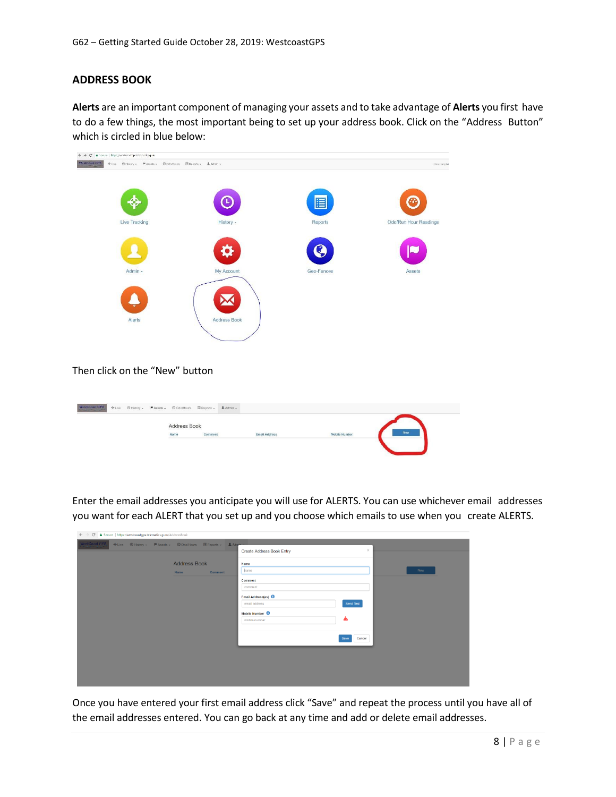# **ADDRESS BOOK**

**Alerts** are an important component of managing your assets and to take advantage of **Alerts** you first have to do a few things, the most important being to set up your address book. Click on the "Address Button" which is circled in blue below:



#### Then click on the "New" button

| Address Book<br>Now<br>$Comment$<br>Name<br>Mobile Number<br><b>Email Address</b> | $\textbf{WestConst}$ GPS $_{\rm{c}}$ |  | + Live © History - M Assets - © Odo/Hours El Reports - LAdmin - |  |  |  |
|-----------------------------------------------------------------------------------|--------------------------------------|--|-----------------------------------------------------------------|--|--|--|
|                                                                                   |                                      |  |                                                                 |  |  |  |
|                                                                                   |                                      |  |                                                                 |  |  |  |
|                                                                                   |                                      |  |                                                                 |  |  |  |

Enter the email addresses you anticipate you will use for ALERTS. You can use whichever email addresses you want for each ALERT that you set up and you choose which emails to use when you create ALERTS.

| ← → C  a Secure   https://westcoastgps.telematics.guru/AddressBook           |                                       |                |
|------------------------------------------------------------------------------|---------------------------------------|----------------|
| WestCoast GPS<br>◆Live © History → M Assets → © Odo/Hours E Reports → LAdmin |                                       | $\times$       |
|                                                                              | Create Address Book Entry             |                |
| <b>Address Book</b>                                                          | Name                                  |                |
| <b>Name</b><br>Comment                                                       | hame                                  | Now            |
|                                                                              | Comment                               |                |
|                                                                              | comment                               |                |
|                                                                              | Email Address(es)                     |                |
|                                                                              | email address                         | Send Test      |
|                                                                              | Mobile Number <sup><sup>O</sup></sup> |                |
|                                                                              | mobile number                         | ◬              |
|                                                                              |                                       |                |
|                                                                              |                                       | Cancel<br>Save |
|                                                                              |                                       |                |
|                                                                              |                                       |                |
|                                                                              |                                       |                |
|                                                                              |                                       |                |
|                                                                              |                                       |                |

Once you have entered your first email address click "Save" and repeat the process until you have all of the email addresses entered. You can go back at any time and add or delete email addresses.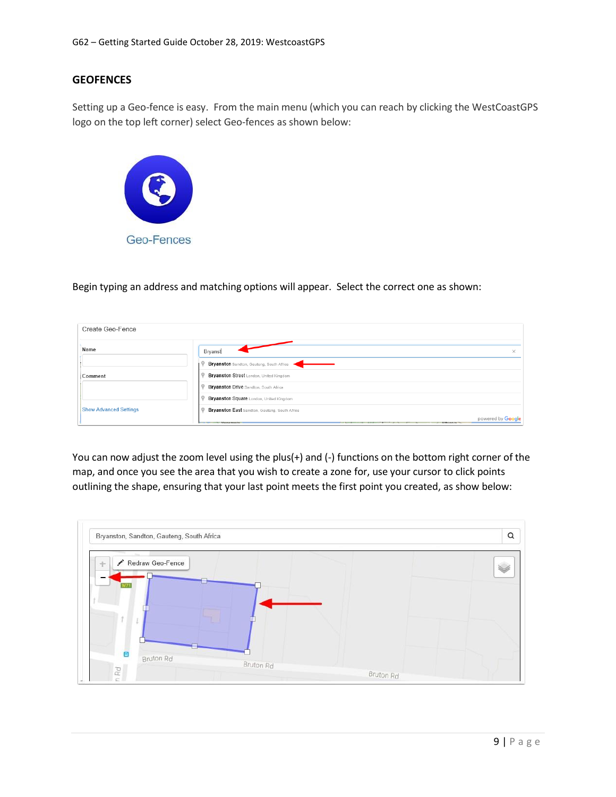### **GEOFENCES**

Setting up a Geo-fence is easy. From the main menu (which you can reach by clicking the WestCoastGPS logo on the top left corner) select Geo-fences as shown below:



Begin typing an address and matching options will appear. Select the correct one as shown:

| Create Geo-Fence              |                                                                         |  |
|-------------------------------|-------------------------------------------------------------------------|--|
| Name                          | Bryanst<br>×                                                            |  |
|                               | Bryanston Sandton, Gauteng, South Africa                                |  |
| Comment                       | Bryanston Street London, United Kingdom                                 |  |
|                               | <b>Bryanston Drive Sandton, South Africa</b>                            |  |
|                               | Bryanston Square London, United Kingdom                                 |  |
| <b>Show Advanced Settings</b> | <b>Bryanston East Sandton, Gauteng, South Africa</b>                    |  |
|                               | powered by Google<br><b>Manazinala</b><br><b>STATISTICS</b><br>Ethiopia |  |

You can now adjust the zoom level using the plus(+) and (-) functions on the bottom right corner of the map, and once you see the area that you wish to create a zone for, use your cursor to click points outlining the shape, ensuring that your last point meets the first point you created, as show below:

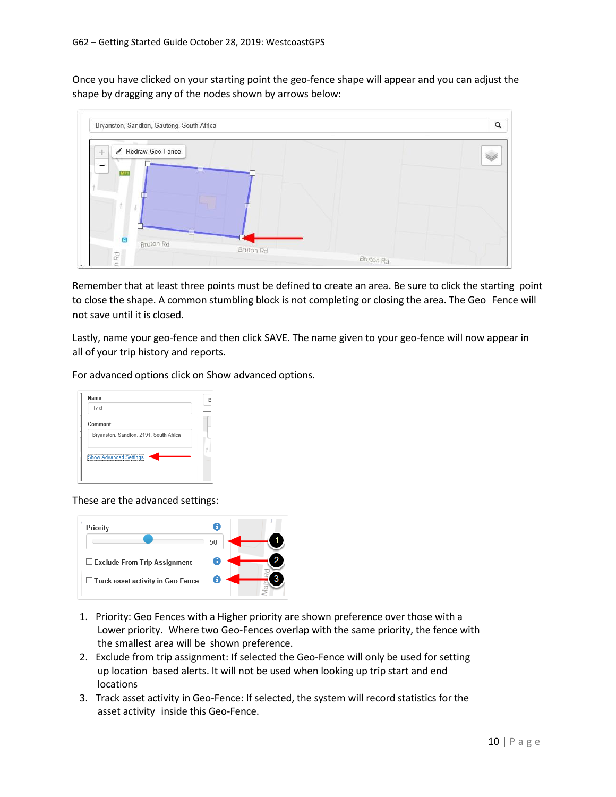Once you have clicked on your starting point the geo-fence shape will appear and you can adjust the shape by dragging any of the nodes shown by arrows below:



Remember that at least three points must be defined to create an area. Be sure to click the starting point to close the shape. A common stumbling block is not completing or closing the area. The Geo Fence will not save until it is closed.

Lastly, name your geo-fence and then click SAVE. The name given to your geo-fence will now appear in all of your trip history and reports.

For advanced options click on Show advanced options.

| Name                                   | R |
|----------------------------------------|---|
| Test                                   |   |
| Comment                                |   |
| Bryanston, Sandton, 2191, South Africa |   |
| <b>Show Advanced Settings</b>          |   |
|                                        |   |
|                                        |   |

These are the advanced settings:



- 1. Priority: Geo Fences with a Higher priority are shown preference over those with a Lower priority. Where two Geo-Fences overlap with the same priority, the fence with the smallest area will be shown preference.
- 2. Exclude from trip assignment: If selected the Geo-Fence will only be used for setting up location based alerts. It will not be used when looking up trip start and end locations
- 3. Track asset activity in Geo-Fence: If selected, the system will record statistics for the asset activity inside this Geo-Fence.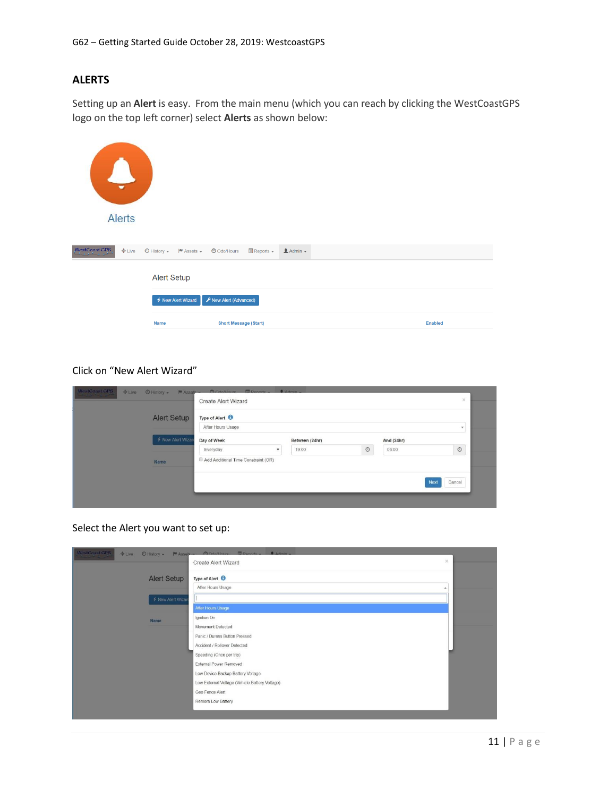# **ALERTS**

Setting up an **Alert** is easy. From the main menu (which you can reach by clicking the WestCoastGPS logo on the top left corner) select **Alerts** as shown below:

| $\overline{\phantom{a}}$<br>$\overline{\phantom{a}}$<br><b>Alerts</b> |                                                            |                                                             |                  |                |  |
|-----------------------------------------------------------------------|------------------------------------------------------------|-------------------------------------------------------------|------------------|----------------|--|
| WestCoast GPS<br>$E = E$                                              | $\bigcirc$ History $\star$   $\blacksquare$ Assets $\star$ | $\blacksquare$ Reports $\blacktriangleright$<br>O Odo/Hours | $A$ dmin $\star$ |                |  |
|                                                                       | <b>Alert Setup</b>                                         |                                                             |                  |                |  |
|                                                                       | ← New Alert Wizard                                         | F New Alert (Advanced)                                      |                  |                |  |
|                                                                       | <b>Name</b>                                                | <b>Short Message (Start)</b>                                |                  | <b>Enabled</b> |  |

# Click on "New Alert Wizard"

| WestCoast GPS<br>$#$ Live<br>⊙ History + M Assete | <b>El</b> Donarte<br><b>CA Odollioure</b><br>Create Alert Wizard | $A$ down         |                  | $\times$ |  |  |  |
|---------------------------------------------------|------------------------------------------------------------------|------------------|------------------|----------|--|--|--|
| Alert Setup                                       | Type of Alert <sup>6</sup><br>After Hours Usage<br>$\star$       |                  |                  |          |  |  |  |
| ← New Alert Wizar                                 | Day of Week                                                      | Between (24hr)   | And (24hr)       |          |  |  |  |
| Name                                              | Everyday<br>$\mathbf{v}$<br>Add Additional Time Constraint (OR)  | $\odot$<br>19:00 | $\circ$<br>06:00 |          |  |  |  |
|                                                   |                                                                  |                  |                  |          |  |  |  |
|                                                   |                                                                  |                  | Cancel<br>Next   |          |  |  |  |
|                                                   |                                                                  |                  |                  |          |  |  |  |

Select the Alert you want to set up:

| WestCoast GPS<br>$+$ Live<br>O History +<br>$M$ Asset $-$ | MOVINTUITE EDOnovic _ BArtmin                  |  |
|-----------------------------------------------------------|------------------------------------------------|--|
|                                                           | $\!\times\!$<br><b>Create Alert Wizard</b>     |  |
| <b>Alert Setup</b>                                        | Type of Alert <sup>6</sup>                     |  |
|                                                           | After Hours Usage                              |  |
| ← New Alert Wizard                                        |                                                |  |
|                                                           | After Hours Usage                              |  |
| Name                                                      | Ignition On                                    |  |
|                                                           | Movement Detected                              |  |
|                                                           | Panic / Duress Button Pressed                  |  |
|                                                           | Accident / Rollover Detected                   |  |
|                                                           | Speeding (Once per trip)                       |  |
|                                                           | External Power Removed                         |  |
|                                                           | Low Device Backup Battery Voltage              |  |
|                                                           | Low External Voltage (Vehicle Battery Voltage) |  |
|                                                           | Geo Fence Alert                                |  |
|                                                           | Remora Low Battery                             |  |
|                                                           |                                                |  |
|                                                           |                                                |  |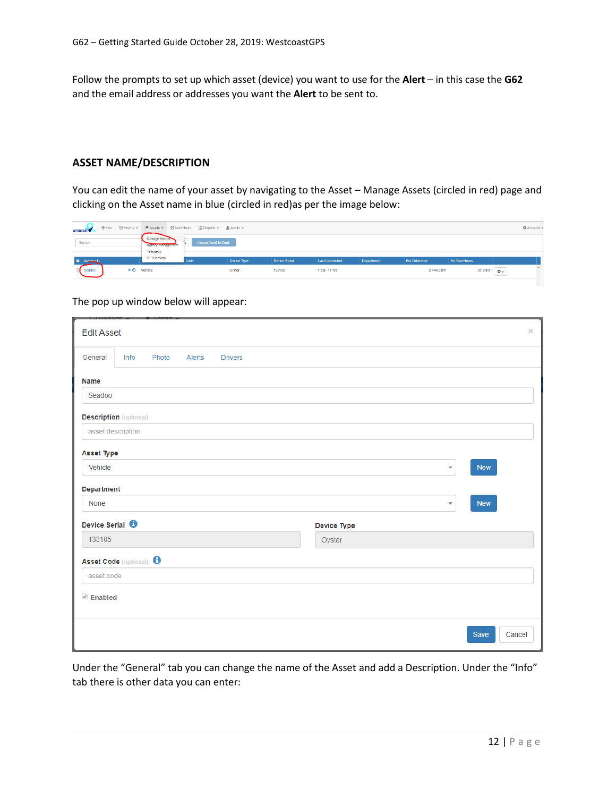Follow the prompts to set up which asset (device) you want to use for the **Alert** – in this case the **G62** and the email address or addresses you want the **Alert** to be sent to.

#### **ASSET NAME/DESCRIPTION**

You can edit the name of your asset by navigating to the Asset – Manage Assets (circled in red) page and clicking on the Asset name in blue (circled in red)as per the image below:

| WESTCOAST <sup>V</sup> |                                   |                                                                                        | ◆Live ⊙History →  甲Assets → ⊙OdoHours □Reports → LAdmin → |             |               |                |            |              |               |                        | <b>C</b> Account |
|------------------------|-----------------------------------|----------------------------------------------------------------------------------------|-----------------------------------------------------------|-------------|---------------|----------------|------------|--------------|---------------|------------------------|------------------|
| Search                 |                                   | Manage Assets<br>Assign Asset to Dept.<br><b>ENGINEER AND DESCRIPTION</b><br>Telemetry |                                                           |             |               |                |            |              |               |                        |                  |
| E Aspets (1)           |                                   | IO Telemetry                                                                           | Code                                                      | Device Type | Device Serial | Last Connected | Department | Est Odometer | Est Run Hours |                        |                  |
| Seadoo                 | $\triangleq$ <sup>O</sup> Vehicle |                                                                                        |                                                           | Oyster      | 133106        | 1 day, 17 hrs. |            | 2444.3 km    | 37.9 hrs      | $\ddot{\circ}$<br>____ |                  |
|                        |                                   |                                                                                        |                                                           |             |               |                |            |              |               |                        |                  |

The pop up window below will appear:

| <b>Edit Asset</b>                  |                   |       |        |                |             |  |                         |            | $\times$ |
|------------------------------------|-------------------|-------|--------|----------------|-------------|--|-------------------------|------------|----------|
| General                            | Info              | Photo | Alerts | <b>Drivers</b> |             |  |                         |            |          |
| <b>Name</b>                        |                   |       |        |                |             |  |                         |            |          |
| Seadoo                             |                   |       |        |                |             |  |                         |            |          |
| <b>Description</b> (optional)      |                   |       |        |                |             |  |                         |            |          |
|                                    | asset description |       |        |                |             |  |                         |            |          |
| <b>Asset Type</b>                  |                   |       |        |                |             |  |                         |            |          |
| Vehicle                            |                   |       |        |                |             |  | $\overline{\mathbf{v}}$ | <b>New</b> |          |
| Department                         |                   |       |        |                |             |  |                         |            |          |
| None                               |                   |       |        |                |             |  | $\overline{\mathbf{v}}$ | <b>New</b> |          |
| Device Serial <sup>6</sup>         |                   |       |        |                | Device Type |  |                         |            |          |
| 133105                             |                   |       |        |                | Oyster      |  |                         |            |          |
| Asset Code (optional) <sup>6</sup> |                   |       |        |                |             |  |                         |            |          |
| asset code                         |                   |       |        |                |             |  |                         |            |          |
| $\triangle$ Enabled                |                   |       |        |                |             |  |                         |            |          |
|                                    |                   |       |        |                |             |  |                         |            |          |
|                                    |                   |       |        |                |             |  |                         | Save       | Cancel   |

Under the "General" tab you can change the name of the Asset and add a Description. Under the "Info" tab there is other data you can enter: